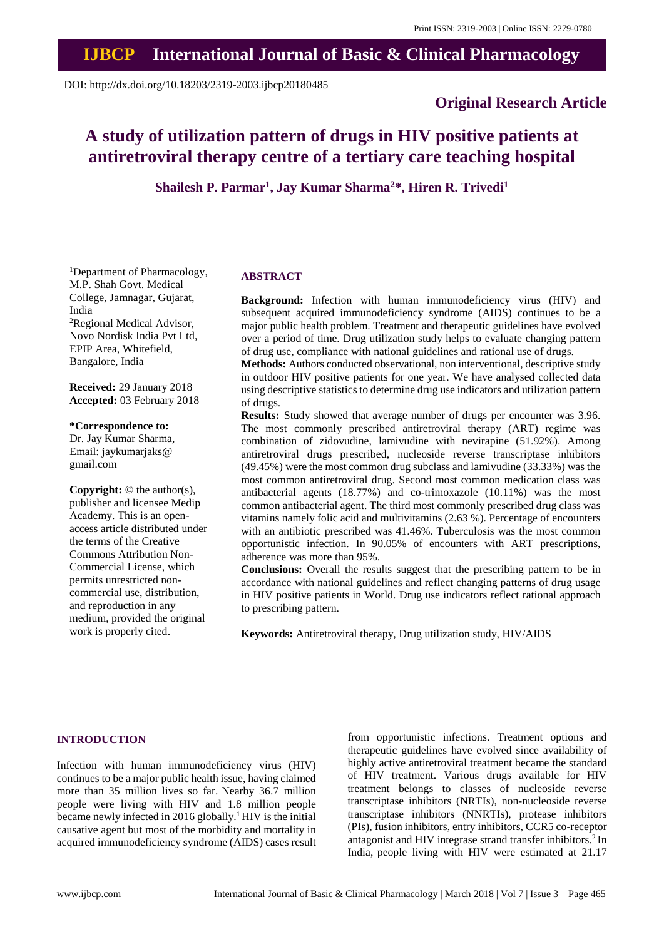## **IJBCP International Journal of Basic & Clinical Pharmacology**

DOI: http://dx.doi.org/10.18203/2319-2003.ijbcp20180485

## **Original Research Article**

# **A study of utilization pattern of drugs in HIV positive patients at antiretroviral therapy centre of a tertiary care teaching hospital**

**Shailesh P. Parmar<sup>1</sup> , Jay Kumar Sharma<sup>2</sup>\*, Hiren R. Trivedi<sup>1</sup>**

<sup>1</sup>Department of Pharmacology, M.P. Shah Govt. Medical College, Jamnagar, Gujarat, India <sup>2</sup>Regional Medical Advisor, Novo Nordisk India Pvt Ltd, EPIP Area, Whitefield, Bangalore, India

**Received:** 29 January 2018 **Accepted:** 03 February 2018

**\*Correspondence to:** Dr. Jay Kumar Sharma, Email: jaykumarjaks@ gmail.com

**Copyright:** © the author(s), publisher and licensee Medip Academy. This is an openaccess article distributed under the terms of the Creative Commons Attribution Non-Commercial License, which permits unrestricted noncommercial use, distribution, and reproduction in any medium, provided the original work is properly cited.

## **ABSTRACT**

**Background:** Infection with human immunodeficiency virus (HIV) and subsequent acquired immunodeficiency syndrome (AIDS) continues to be a major public health problem. Treatment and therapeutic guidelines have evolved over a period of time. Drug utilization study helps to evaluate changing pattern of drug use, compliance with national guidelines and rational use of drugs.

**Methods:** Authors conducted observational, non interventional, descriptive study in outdoor HIV positive patients for one year. We have analysed collected data using descriptive statistics to determine drug use indicators and utilization pattern of drugs.

**Results:** Study showed that average number of drugs per encounter was 3.96. The most commonly prescribed antiretroviral therapy (ART) regime was combination of zidovudine, lamivudine with nevirapine (51.92%). Among antiretroviral drugs prescribed, nucleoside reverse transcriptase inhibitors (49.45%) were the most common drug subclass and lamivudine (33.33%) was the most common antiretroviral drug. Second most common medication class was antibacterial agents (18.77%) and co-trimoxazole (10.11%) was the most common antibacterial agent. The third most commonly prescribed drug class was vitamins namely folic acid and multivitamins (2.63 %). Percentage of encounters with an antibiotic prescribed was 41.46%. Tuberculosis was the most common opportunistic infection. In 90.05% of encounters with ART prescriptions, adherence was more than 95%.

**Conclusions:** Overall the results suggest that the prescribing pattern to be in accordance with national guidelines and reflect changing patterns of drug usage in HIV positive patients in World. Drug use indicators reflect rational approach to prescribing pattern.

**Keywords:** Antiretroviral therapy, Drug utilization study, HIV/AIDS

## **INTRODUCTION**

Infection with human immunodeficiency virus (HIV) continues to be a major public health issue, having claimed more than 35 million lives so far. Nearby 36.7 million people were living with HIV and 1.8 million people became newly infected in 2016 globally.<sup>1</sup> HIV is the initial causative agent but most of the morbidity and mortality in acquired immunodeficiency syndrome (AIDS) cases result from opportunistic infections. Treatment options and therapeutic guidelines have evolved since availability of highly active antiretroviral treatment became the standard of HIV treatment. Various drugs available for HIV treatment belongs to classes of nucleoside reverse transcriptase inhibitors (NRTIs), non-nucleoside reverse transcriptase inhibitors (NNRTIs), protease inhibitors (PIs), fusion inhibitors, entry inhibitors, CCR5 co-receptor antagonist and HIV integrase strand transfer inhibitors.<sup>2</sup> In India, people living with HIV were estimated at 21.17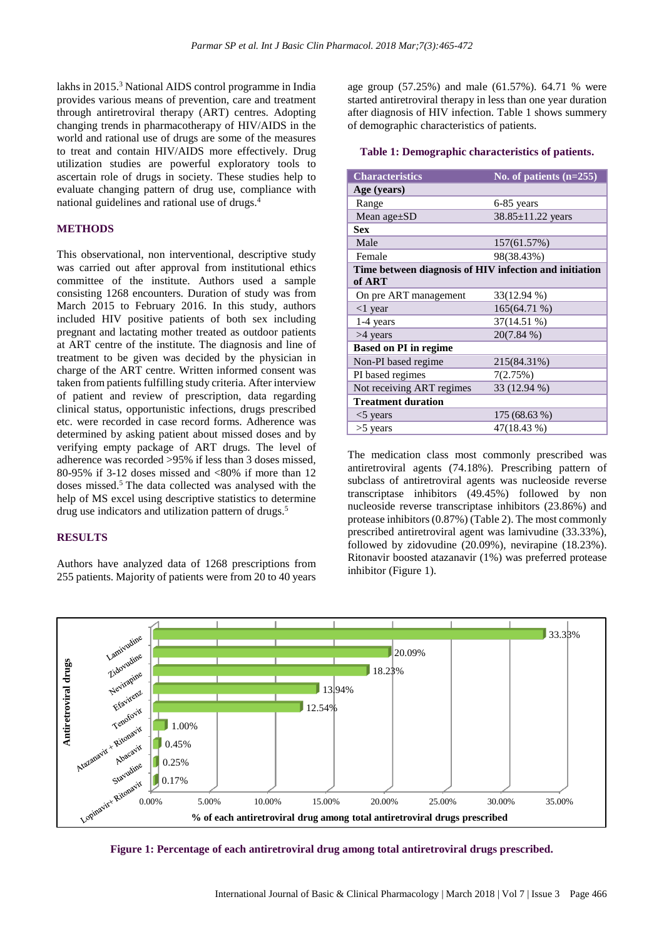lakhs in 2015.<sup>3</sup> National AIDS control programme in India provides various means of prevention, care and treatment through antiretroviral therapy (ART) centres. Adopting changing trends in pharmacotherapy of HIV/AIDS in the world and rational use of drugs are some of the measures to treat and contain HIV/AIDS more effectively. Drug utilization studies are powerful exploratory tools to ascertain role of drugs in society. These studies help to evaluate changing pattern of drug use, compliance with national guidelines and rational use of drugs.<sup>4</sup>

## **METHODS**

This observational, non interventional, descriptive study was carried out after approval from institutional ethics committee of the institute. Authors used a sample consisting 1268 encounters. Duration of study was from March 2015 to February 2016. In this study, authors included HIV positive patients of both sex including pregnant and lactating mother treated as outdoor patients at ART centre of the institute. The diagnosis and line of treatment to be given was decided by the physician in charge of the ART centre. Written informed consent was taken from patients fulfilling study criteria. After interview of patient and review of prescription, data regarding clinical status, opportunistic infections, drugs prescribed etc. were recorded in case record forms. Adherence was determined by asking patient about missed doses and by verifying empty package of ART drugs. The level of adherence was recorded >95% if less than 3 doses missed, 80-95% if 3-12 doses missed and  $<80\%$  if more than 12 doses missed.<sup>5</sup> The data collected was analysed with the help of MS excel using descriptive statistics to determine drug use indicators and utilization pattern of drugs.<sup>5</sup>

#### **RESULTS**

Authors have analyzed data of 1268 prescriptions from 255 patients. Majority of patients were from 20 to 40 years age group (57.25%) and male (61.57%). 64.71 % were started antiretroviral therapy in less than one year duration after diagnosis of HIV infection. Table 1 shows summery of demographic characteristics of patients.

#### **Table 1: Demographic characteristics of patients.**

| <b>Characteristics</b>                                 | No. of patients $(n=255)$ |  |  |  |
|--------------------------------------------------------|---------------------------|--|--|--|
| Age (years)                                            |                           |  |  |  |
| Range                                                  | 6-85 years                |  |  |  |
| Mean age±SD                                            | 38.85±11.22 years         |  |  |  |
| <b>Sex</b>                                             |                           |  |  |  |
| Male                                                   | 157(61.57%)               |  |  |  |
| Female                                                 | 98(38.43%)                |  |  |  |
| Time between diagnosis of HIV infection and initiation |                           |  |  |  |
| of ART                                                 |                           |  |  |  |
| On pre ART management                                  | 33(12.94 %)               |  |  |  |
| $<$ 1 year                                             | 165(64.71 %)              |  |  |  |
| 1-4 years                                              | 37(14.51 %)               |  |  |  |
| >4 years                                               | 20(7.84 %)                |  |  |  |
| <b>Based on PI in regime</b>                           |                           |  |  |  |
| Non-PI based regime                                    | 215(84.31%)               |  |  |  |
| PI based regimes                                       | 7(2.75%)                  |  |  |  |
| Not receiving ART regimes                              | 33 (12.94 %)              |  |  |  |
| <b>Treatment duration</b>                              |                           |  |  |  |
| $<$ 5 years                                            | 175 (68.63 %)             |  |  |  |
| $>5$ years                                             | 47(18.43 %)               |  |  |  |

The medication class most commonly prescribed was antiretroviral agents (74.18%). Prescribing pattern of subclass of antiretroviral agents was nucleoside reverse transcriptase inhibitors (49.45%) followed by non nucleoside reverse transcriptase inhibitors (23.86%) and protease inhibitors(0.87%) (Table 2). The most commonly prescribed antiretroviral agent was lamivudine (33.33%), followed by zidovudine (20.09%), nevirapine (18.23%). Ritonavir boosted atazanavir (1%) was preferred protease inhibitor (Figure 1).



**Figure 1: Percentage of each antiretroviral drug among total antiretroviral drugs prescribed.**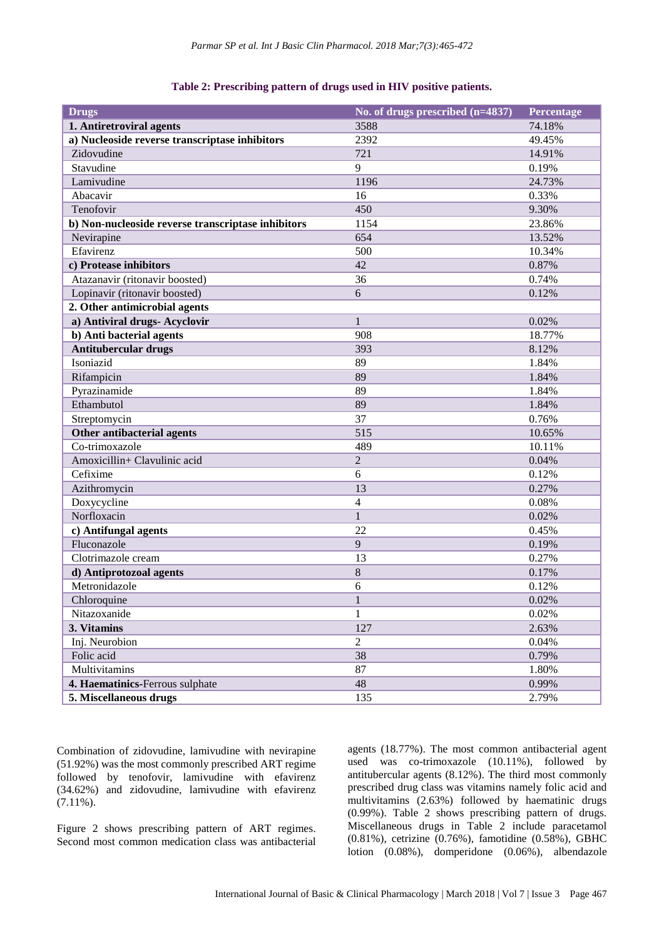| Table 2: Prescribing pattern of drugs used in HIV positive patients. |  |  |  |  |  |  |
|----------------------------------------------------------------------|--|--|--|--|--|--|
|----------------------------------------------------------------------|--|--|--|--|--|--|

| <b>Drugs</b>                                       | No. of drugs prescribed (n=4837) | Percentage |
|----------------------------------------------------|----------------------------------|------------|
| 1. Antiretroviral agents                           | 3588                             | 74.18%     |
| a) Nucleoside reverse transcriptase inhibitors     | 2392                             | 49.45%     |
| Zidovudine                                         | 721                              | 14.91%     |
| Stavudine                                          | 9                                | 0.19%      |
| Lamivudine                                         | 1196                             | 24.73%     |
| Abacavir                                           | 16                               | 0.33%      |
| Tenofovir                                          | 450                              | 9.30%      |
| b) Non-nucleoside reverse transcriptase inhibitors | 1154                             | 23.86%     |
| Nevirapine                                         | 654                              | 13.52%     |
| Efavirenz                                          | 500                              | 10.34%     |
| c) Protease inhibitors                             | 42                               | 0.87%      |
| Atazanavir (ritonavir boosted)                     | 36                               | 0.74%      |
| Lopinavir (ritonavir boosted)                      | 6                                | 0.12%      |
| 2. Other antimicrobial agents                      |                                  |            |
| a) Antiviral drugs- Acyclovir                      | $\mathbf{1}$                     | 0.02%      |
| b) Anti bacterial agents                           | 908                              | 18.77%     |
| <b>Antitubercular drugs</b>                        | 393                              | 8.12%      |
| Isoniazid                                          | 89                               | 1.84%      |
| Rifampicin                                         | 89                               | 1.84%      |
| Pyrazinamide                                       | 89                               | 1.84%      |
| Ethambutol                                         | 89                               | 1.84%      |
| Streptomycin                                       | 37                               | 0.76%      |
| Other antibacterial agents                         | 515                              | 10.65%     |
| Co-trimoxazole                                     | 489                              | 10.11%     |
| Amoxicillin+ Clavulinic acid                       | $\overline{c}$                   | 0.04%      |
| Cefixime                                           | 6                                | 0.12%      |
| Azithromycin                                       | 13                               | 0.27%      |
| Doxycycline                                        | $\overline{4}$                   | 0.08%      |
| Norfloxacin                                        | $\mathbf{1}$                     | 0.02%      |
| c) Antifungal agents                               | 22                               | 0.45%      |
| Fluconazole                                        | 9                                | 0.19%      |
| Clotrimazole cream                                 | 13                               | 0.27%      |
| d) Antiprotozoal agents                            | 8                                | 0.17%      |
| Metronidazole                                      | 6                                | 0.12%      |
| Chloroquine                                        | 1                                | 0.02%      |
| Nitazoxanide                                       | $\mathbf{1}$                     | 0.02%      |
| 3. Vitamins                                        | 127                              | 2.63%      |
| Inj. Neurobion                                     | $\overline{2}$                   | 0.04%      |
| Folic acid                                         | 38                               | 0.79%      |
| Multivitamins                                      | 87                               | 1.80%      |
| 4. Haematinics-Ferrous sulphate                    | 48                               | 0.99%      |
| 5. Miscellaneous drugs                             | 135                              | 2.79%      |

Combination of zidovudine, lamivudine with nevirapine (51.92%) was the most commonly prescribed ART regime followed by tenofovir, lamivudine with efavirenz (34.62%) and zidovudine, lamivudine with efavirenz  $(7.11\%)$ .

Figure 2 shows prescribing pattern of ART regimes. Second most common medication class was antibacterial agents (18.77%). The most common antibacterial agent used was co-trimoxazole (10.11%), followed by antitubercular agents (8.12%). The third most commonly prescribed drug class was vitamins namely folic acid and multivitamins (2.63%) followed by haematinic drugs (0.99%). Table 2 shows prescribing pattern of drugs. Miscellaneous drugs in Table 2 include paracetamol (0.81%), cetrizine (0.76%), famotidine (0.58%), GBHC lotion (0.08%), domperidone (0.06%), albendazole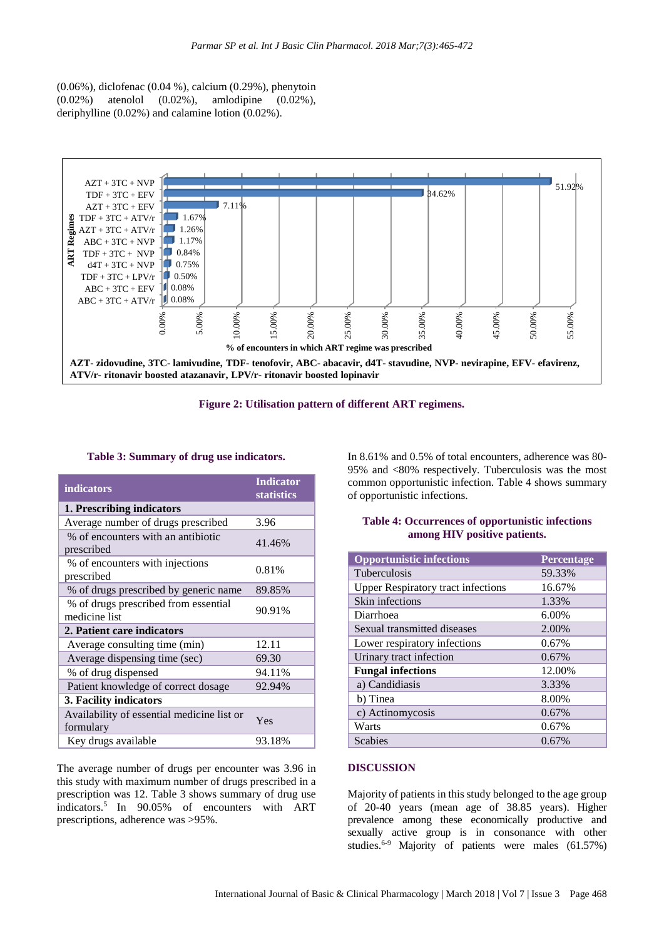(0.06%), diclofenac (0.04 %), calcium (0.29%), phenytoin (0.02%) atenolol (0.02%), amlodipine (0.02%), deriphylline (0.02%) and calamine lotion (0.02%).





## **Table 3: Summary of drug use indicators.**

| indicators                                              | <b>Indicator</b>  |  |
|---------------------------------------------------------|-------------------|--|
|                                                         | <b>statistics</b> |  |
| 1. Prescribing indicators                               |                   |  |
| Average number of drugs prescribed                      | 3.96              |  |
| % of encounters with an antibiotic<br>prescribed        | 41.46%            |  |
| % of encounters with injections<br>prescribed           | 0.81%             |  |
| % of drugs prescribed by generic name                   | 89.85%            |  |
| % of drugs prescribed from essential<br>medicine list   | 90.91%            |  |
| 2. Patient care indicators                              |                   |  |
| Average consulting time (min)                           | 12.11             |  |
| Average dispensing time (sec)                           | 69.30             |  |
| % of drug dispensed                                     | 94.11%            |  |
| Patient knowledge of correct dosage                     | 92.94%            |  |
| 3. Facility indicators                                  |                   |  |
| Availability of essential medicine list or<br>formulary | Yes               |  |
| Key drugs available                                     | 93.18%            |  |

The average number of drugs per encounter was 3.96 in this study with maximum number of drugs prescribed in a prescription was 12. Table 3 shows summary of drug use indicators.<sup>5</sup> In 90.05% of encounters with ART prescriptions, adherence was >95%.

In 8.61% and 0.5% of total encounters, adherence was 80- 95% and <80% respectively. Tuberculosis was the most common opportunistic infection. Table 4 shows summary of opportunistic infections.

#### **Table 4: Occurrences of opportunistic infections among HIV positive patients.**

| <b>Opportunistic infections</b>           | <b>Percentage</b> |
|-------------------------------------------|-------------------|
| <b>Tuberculosis</b>                       | 59.33%            |
| <b>Upper Respiratory tract infections</b> | 16.67%            |
| Skin infections                           | 1.33%             |
| Diarrhoea                                 | 6.00%             |
| Sexual transmitted diseases               | 2.00%             |
| Lower respiratory infections              | 0.67%             |
| Urinary tract infection                   | 0.67%             |
| <b>Fungal infections</b>                  | 12.00%            |
| a) Candidiasis                            | 3.33%             |
| b) Tinea                                  | 8.00%             |
| c) Actinomycosis                          | 0.67%             |
| Warts                                     | 0.67%             |
| <b>Scabies</b>                            | 0.67%             |

#### **DISCUSSION**

Majority of patients in this study belonged to the age group of 20-40 years (mean age of 38.85 years). Higher prevalence among these economically productive and sexually active group is in consonance with other studies.6-9 Majority of patients were males (61.57%)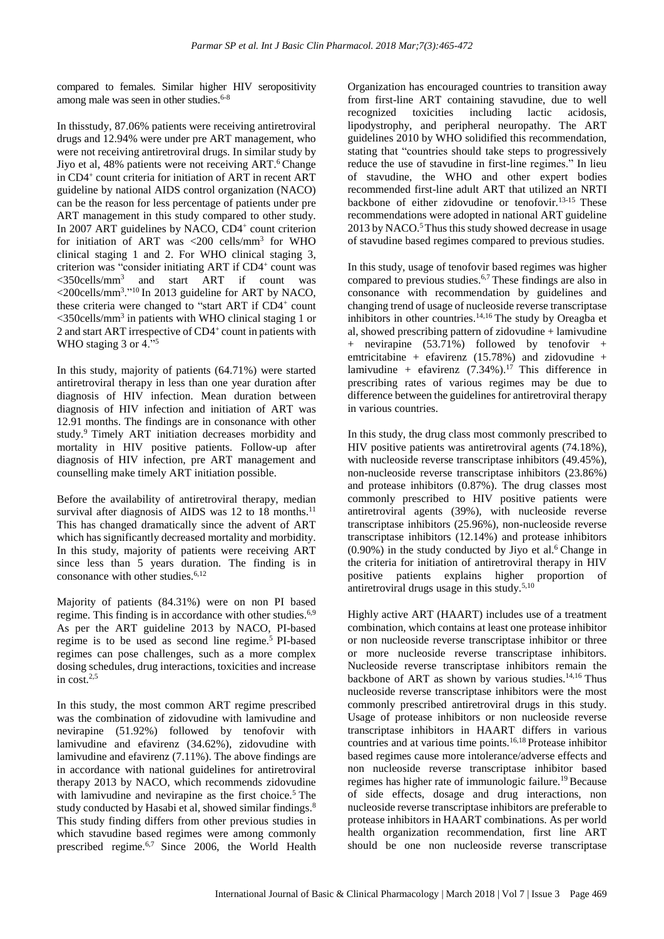compared to females. Similar higher HIV seropositivity among male was seen in other studies. $6-8$ 

In thisstudy, 87.06% patients were receiving antiretroviral drugs and 12.94% were under pre ART management, who were not receiving antiretroviral drugs. In similar study by Jiyo et al, 48% patients were not receiving ART.<sup>6</sup> Change in CD4<sup>+</sup> count criteria for initiation of ART in recent ART guideline by national AIDS control organization (NACO) can be the reason for less percentage of patients under pre ART management in this study compared to other study. In 2007 ART guidelines by NACO, CD4<sup>+</sup> count criterion for initiation of ART was <200 cells/ $mm<sup>3</sup>$  for WHO clinical staging 1 and 2. For WHO clinical staging 3, criterion was "consider initiating ART if CD4+ count was <350cells/mm<sup>3</sup> and start ART if count was <200cells/mm<sup>3</sup> ."<sup>10</sup> In 2013 guideline for ART by NACO, these criteria were changed to "start ART if CD4+ count  $<$ 350cells/mm<sup>3</sup> in patients with WHO clinical staging 1 or 2 and start ART irrespective of CD4<sup>+</sup> count in patients with WHO staging 3 or 4."<sup>5</sup>

In this study, majority of patients (64.71%) were started antiretroviral therapy in less than one year duration after diagnosis of HIV infection. Mean duration between diagnosis of HIV infection and initiation of ART was 12.91 months. The findings are in consonance with other study.<sup>9</sup> Timely ART initiation decreases morbidity and mortality in HIV positive patients. Follow-up after diagnosis of HIV infection, pre ART management and counselling make timely ART initiation possible.

Before the availability of antiretroviral therapy, median survival after diagnosis of AIDS was  $12$  to  $18$  months.<sup>11</sup> This has changed dramatically since the advent of ART which has significantly decreased mortality and morbidity. In this study, majority of patients were receiving ART since less than 5 years duration. The finding is in consonance with other studies. $6,12$ 

Majority of patients (84.31%) were on non PI based regime. This finding is in accordance with other studies.<sup>6,9</sup> As per the ART guideline 2013 by NACO, PI-based regime is to be used as second line regime.<sup>5</sup> PI-based regimes can pose challenges, such as a more complex dosing schedules, drug interactions, toxicities and increase in  $cost.^{2,5}$ 

In this study, the most common ART regime prescribed was the combination of zidovudine with lamivudine and nevirapine (51.92%) followed by tenofovir with lamivudine and efavirenz (34.62%), zidovudine with lamivudine and efavirenz (7.11%). The above findings are in accordance with national guidelines for antiretroviral therapy 2013 by NACO, which recommends zidovudine with lamivudine and nevirapine as the first choice.<sup>5</sup> The study conducted by Hasabi et al, showed similar findings.<sup>8</sup> This study finding differs from other previous studies in which stavudine based regimes were among commonly prescribed regime.6,7 Since 2006, the World Health Organization has encouraged countries to transition away from first-line ART containing stavudine, due to well recognized toxicities including lactic acidosis, lipodystrophy, and peripheral neuropathy. The ART guidelines 2010 by WHO solidified this recommendation, stating that "countries should take steps to progressively reduce the use of stavudine in first-line regimes." In lieu of stavudine, the WHO and other expert bodies recommended first-line adult ART that utilized an NRTI backbone of either zidovudine or tenofovir.13-15 These recommendations were adopted in national ART guideline  $2013$  by NACO.<sup>5</sup>Thus this study showed decrease in usage of stavudine based regimes compared to previous studies.

In this study, usage of tenofovir based regimes was higher compared to previous studies.6,7 These findings are also in consonance with recommendation by guidelines and changing trend of usage of nucleoside reverse transcriptase inhibitors in other countries.<sup>14,16</sup> The study by Oreagba et al, showed prescribing pattern of zidovudine + lamivudine + nevirapine (53.71%) followed by tenofovir + emtricitabine + efavirenz  $(15.78%)$  and zidovudine + lamivudine + efavirenz  $(7.34\%)$ .<sup>17</sup> This difference in prescribing rates of various regimes may be due to difference between the guidelines for antiretroviral therapy in various countries.

In this study, the drug class most commonly prescribed to HIV positive patients was antiretroviral agents (74.18%), with nucleoside reverse transcriptase inhibitors  $(49.45\%)$ , non-nucleoside reverse transcriptase inhibitors (23.86%) and protease inhibitors (0.87%). The drug classes most commonly prescribed to HIV positive patients were antiretroviral agents (39%), with nucleoside reverse transcriptase inhibitors (25.96%), non-nucleoside reverse transcriptase inhibitors (12.14%) and protease inhibitors  $(0.90\%)$  in the study conducted by Jiyo et al.<sup>6</sup> Change in the criteria for initiation of antiretroviral therapy in HIV positive patients explains higher proportion of antiretroviral drugs usage in this study.5,10

Highly active ART (HAART) includes use of a treatment combination, which contains at least one protease inhibitor or non nucleoside reverse transcriptase inhibitor or three or more nucleoside reverse transcriptase inhibitors. Nucleoside reverse transcriptase inhibitors remain the backbone of ART as shown by various studies.<sup>14,16</sup> Thus nucleoside reverse transcriptase inhibitors were the most commonly prescribed antiretroviral drugs in this study. Usage of protease inhibitors or non nucleoside reverse transcriptase inhibitors in HAART differs in various countries and at various time points.16,18 Protease inhibitor based regimes cause more intolerance/adverse effects and non nucleoside reverse transcriptase inhibitor based regimes has higher rate of immunologic failure.<sup>19</sup> Because of side effects, dosage and drug interactions, non nucleoside reverse transcriptase inhibitors are preferable to protease inhibitors in HAART combinations. As per world health organization recommendation, first line ART should be one non nucleoside reverse transcriptase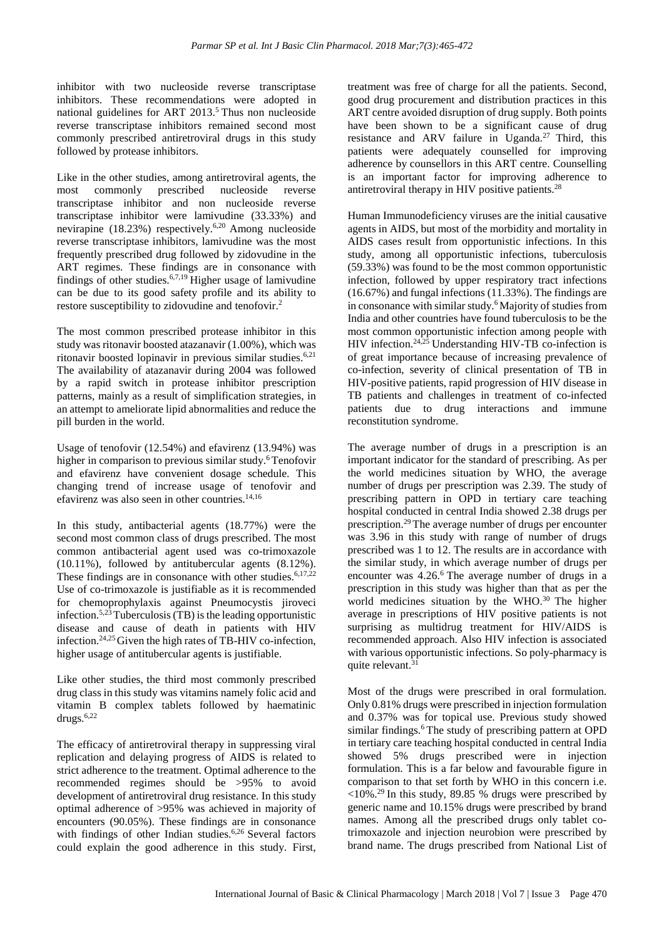inhibitor with two nucleoside reverse transcriptase inhibitors. These recommendations were adopted in national guidelines for ART 2013.<sup>5</sup> Thus non nucleoside reverse transcriptase inhibitors remained second most commonly prescribed antiretroviral drugs in this study followed by protease inhibitors.

Like in the other studies, among antiretroviral agents, the most commonly prescribed nucleoside reverse transcriptase inhibitor and non nucleoside reverse transcriptase inhibitor were lamivudine (33.33%) and nevirapine (18.23%) respectively.6,20 Among nucleoside reverse transcriptase inhibitors, lamivudine was the most frequently prescribed drug followed by zidovudine in the ART regimes. These findings are in consonance with findings of other studies.6,7,19 Higher usage of lamivudine can be due to its good safety profile and its ability to restore susceptibility to zidovudine and tenofovir.<sup>2</sup>

The most common prescribed protease inhibitor in this study was ritonavir boosted atazanavir (1.00%), which was ritonavir boosted lopinavir in previous similar studies.<sup>6,21</sup> The availability of atazanavir during 2004 was followed by a rapid switch in protease inhibitor prescription patterns, mainly as a result of simplification strategies, in an attempt to ameliorate lipid abnormalities and reduce the pill burden in the world.

Usage of tenofovir (12.54%) and efavirenz (13.94%) was higher in comparison to previous similar study.<sup>6</sup> Tenofovir and efavirenz have convenient dosage schedule. This changing trend of increase usage of tenofovir and efavirenz was also seen in other countries.14,16

In this study, antibacterial agents (18.77%) were the second most common class of drugs prescribed. The most common antibacterial agent used was co-trimoxazole (10.11%), followed by antitubercular agents (8.12%). These findings are in consonance with other studies. $6,17,22$ Use of co-trimoxazole is justifiable as it is recommended for chemoprophylaxis against Pneumocystis jiroveci infection.<sup>5,23</sup>Tuberculosis (TB) is the leading opportunistic disease and cause of death in patients with HIV infection.24,25Given the high rates of TB-HIV co-infection, higher usage of antitubercular agents is justifiable.

Like other studies, the third most commonly prescribed drug class in this study was vitamins namely folic acid and vitamin B complex tablets followed by haematinic drugs.6,22

The efficacy of antiretroviral therapy in suppressing viral replication and delaying progress of AIDS is related to strict adherence to the treatment. Optimal adherence to the recommended regimes should be >95% to avoid development of antiretroviral drug resistance. In this study optimal adherence of >95% was achieved in majority of encounters (90.05%). These findings are in consonance with findings of other Indian studies.<sup>6,26</sup> Several factors could explain the good adherence in this study. First, treatment was free of charge for all the patients. Second, good drug procurement and distribution practices in this ART centre avoided disruption of drug supply. Both points have been shown to be a significant cause of drug resistance and ARV failure in Uganda.<sup>27</sup> Third, this patients were adequately counselled for improving adherence by counsellors in this ART centre. Counselling is an important factor for improving adherence to antiretroviral therapy in HIV positive patients.<sup>28</sup>

Human Immunodeficiency viruses are the initial causative agents in AIDS, but most of the morbidity and mortality in AIDS cases result from opportunistic infections. In this study, among all opportunistic infections, tuberculosis (59.33%) was found to be the most common opportunistic infection, followed by upper respiratory tract infections (16.67%) and fungal infections (11.33%). The findings are in consonance with similar study.<sup>6</sup>Majority of studies from India and other countries have found tuberculosis to be the most common opportunistic infection among people with HIV infection.<sup>24,25</sup> Understanding HIV-TB co-infection is of great importance because of increasing prevalence of co-infection, severity of clinical presentation of TB in HIV-positive patients, rapid progression of HIV disease in TB patients and challenges in treatment of co-infected patients due to drug interactions and immune reconstitution syndrome.

The average number of drugs in a prescription is an important indicator for the standard of prescribing. As per the world medicines situation by WHO, the average number of drugs per prescription was 2.39. The study of prescribing pattern in OPD in tertiary care teaching hospital conducted in central India showed 2.38 drugs per prescription.<sup>29</sup> The average number of drugs per encounter was 3.96 in this study with range of number of drugs prescribed was 1 to 12. The results are in accordance with the similar study, in which average number of drugs per encounter was 4.26.<sup>6</sup> The average number of drugs in a prescription in this study was higher than that as per the world medicines situation by the WHO.<sup>30</sup> The higher average in prescriptions of HIV positive patients is not surprising as multidrug treatment for HIV/AIDS is recommended approach. Also HIV infection is associated with various opportunistic infections. So poly-pharmacy is quite relevant.<sup>31</sup>

Most of the drugs were prescribed in oral formulation. Only 0.81% drugs were prescribed in injection formulation and 0.37% was for topical use. Previous study showed similar findings.<sup>6</sup> The study of prescribing pattern at OPD in tertiary care teaching hospital conducted in central India showed 5% drugs prescribed were in injection formulation. This is a far below and favourable figure in comparison to that set forth by WHO in this concern i.e.  $\langle 10\% \cdot \frac{29}{9}$  In this study, 89.85 % drugs were prescribed by generic name and 10.15% drugs were prescribed by brand names. Among all the prescribed drugs only tablet cotrimoxazole and injection neurobion were prescribed by brand name. The drugs prescribed from National List of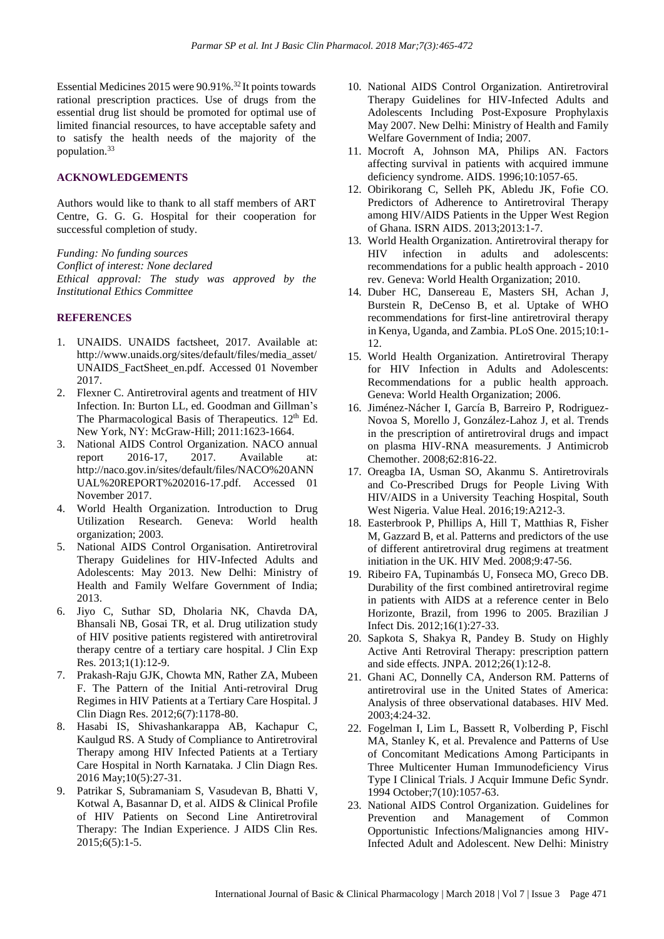Essential Medicines 2015 were 90.91%.<sup>32</sup> It points towards rational prescription practices. Use of drugs from the essential drug list should be promoted for optimal use of limited financial resources, to have acceptable safety and to satisfy the health needs of the majority of the population.<sup>33</sup>

## **ACKNOWLEDGEMENTS**

Authors would like to thank to all staff members of ART Centre, G. G. G. Hospital for their cooperation for successful completion of study.

*Funding: No funding sources Conflict of interest: None declared Ethical approval: The study was approved by the Institutional Ethics Committee*

#### **REFERENCES**

- 1. UNAIDS. UNAIDS factsheet, 2017. Available at: http://www.unaids.org/sites/default/files/media\_asset/ UNAIDS\_FactSheet\_en.pdf. Accessed 01 November 2017.
- 2. Flexner C. Antiretroviral agents and treatment of HIV Infection. In: Burton LL, ed. Goodman and Gillman's The Pharmacological Basis of Therapeutics.  $12<sup>th</sup>$  Ed. New York, NY: McGraw-Hill; 2011:1623-1664.
- 3. National AIDS Control Organization. NACO annual report 2016-17, 2017. Available at: http://naco.gov.in/sites/default/files/NACO%20ANN UAL%20REPORT%202016-17.pdf. Accessed 01 November 2017.
- 4. World Health Organization. Introduction to Drug Utilization Research. Geneva: World health organization; 2003.
- 5. National AIDS Control Organisation. Antiretroviral Therapy Guidelines for HIV-Infected Adults and Adolescents: May 2013. New Delhi: Ministry of Health and Family Welfare Government of India; 2013.
- 6. Jiyo C, Suthar SD, Dholaria NK, Chavda DA, Bhansali NB, Gosai TR, et al. Drug utilization study of HIV positive patients registered with antiretroviral therapy centre of a tertiary care hospital. J Clin Exp Res. 2013;1(1):12-9.
- 7. Prakash-Raju GJK, Chowta MN, Rather ZA, Mubeen F. The Pattern of the Initial Anti-retroviral Drug Regimes in HIV Patients at a Tertiary Care Hospital. J Clin Diagn Res. 2012;6(7):1178-80.
- 8. Hasabi IS, Shivashankarappa AB, Kachapur C, Kaulgud RS. A Study of Compliance to Antiretroviral Therapy among HIV Infected Patients at a Tertiary Care Hospital in North Karnataka. J Clin Diagn Res. 2016 May;10(5):27-31.
- 9. Patrikar S, Subramaniam S, Vasudevan B, Bhatti V, Kotwal A, Basannar D, et al. AIDS & Clinical Profile of HIV Patients on Second Line Antiretroviral Therapy: The Indian Experience. J AIDS Clin Res. 2015;6(5):1-5.
- 10. National AIDS Control Organization. Antiretroviral Therapy Guidelines for HIV-Infected Adults and Adolescents Including Post-Exposure Prophylaxis May 2007. New Delhi: Ministry of Health and Family Welfare Government of India; 2007.
- 11. Mocroft A, Johnson MA, Philips AN. Factors affecting survival in patients with acquired immune deficiency syndrome. AIDS. 1996;10:1057-65.
- 12. Obirikorang C, Selleh PK, Abledu JK, Fofie CO. Predictors of Adherence to Antiretroviral Therapy among HIV/AIDS Patients in the Upper West Region of Ghana. ISRN AIDS. 2013;2013:1-7.
- 13. World Health Organization. Antiretroviral therapy for HIV infection in adults and adolescents: recommendations for a public health approach - 2010 rev. Geneva: World Health Organization; 2010.
- 14. Duber HC, Dansereau E, Masters SH, Achan J, Burstein R, DeCenso B, et al. Uptake of WHO recommendations for first-line antiretroviral therapy in Kenya, Uganda, and Zambia. PLoS One. 2015;10:1- 12.
- 15. World Health Organization. Antiretroviral Therapy for HIV Infection in Adults and Adolescents: Recommendations for a public health approach. Geneva: World Health Organization; 2006.
- 16. Jiménez-Nácher I, García B, Barreiro P, Rodriguez-Novoa S, Morello J, González-Lahoz J, et al. Trends in the prescription of antiretroviral drugs and impact on plasma HIV-RNA measurements. J Antimicrob Chemother. 2008;62:816-22.
- 17. Oreagba IA, Usman SO, Akanmu S. Antiretrovirals and Co-Prescribed Drugs for People Living With HIV/AIDS in a University Teaching Hospital, South West Nigeria. Value Heal. 2016;19:A212-3.
- 18. Easterbrook P, Phillips A, Hill T, Matthias R, Fisher M, Gazzard B, et al. Patterns and predictors of the use of different antiretroviral drug regimens at treatment initiation in the UK. HIV Med. 2008;9:47-56.
- 19. Ribeiro FA, Tupinambás U, Fonseca MO, Greco DB. Durability of the first combined antiretroviral regime in patients with AIDS at a reference center in Belo Horizonte, Brazil, from 1996 to 2005. Brazilian J Infect Dis. 2012;16(1):27-33.
- 20. Sapkota S, Shakya R, Pandey B. Study on Highly Active Anti Retroviral Therapy: prescription pattern and side effects. JNPA. 2012;26(1):12-8.
- 21. Ghani AC, Donnelly CA, Anderson RM. Patterns of antiretroviral use in the United States of America: Analysis of three observational databases. HIV Med. 2003;4:24-32.
- 22. Fogelman I, Lim L, Bassett R, Volberding P, Fischl MA, Stanley K, et al. Prevalence and Patterns of Use of Concomitant Medications Among Participants in Three Multicenter Human Immunodeficiency Virus Type I Clinical Trials. J Acquir Immune Defic Syndr. 1994 October;7(10):1057-63.
- 23. National AIDS Control Organization. Guidelines for Prevention and Management of Common Opportunistic Infections/Malignancies among HIV-Infected Adult and Adolescent. New Delhi: Ministry